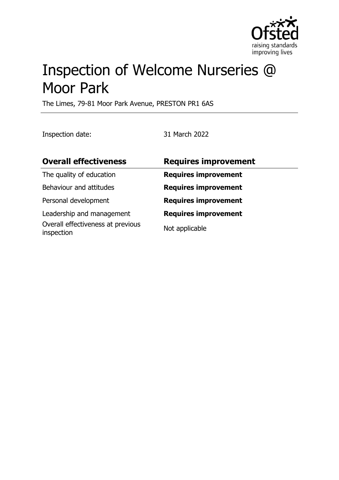

# Inspection of Welcome Nurseries @ Moor Park

The Limes, 79-81 Moor Park Avenue, PRESTON PR1 6AS

Inspection date: 31 March 2022

| <b>Overall effectiveness</b>                    | <b>Requires improvement</b> |
|-------------------------------------------------|-----------------------------|
| The quality of education                        | <b>Requires improvement</b> |
| Behaviour and attitudes                         | <b>Requires improvement</b> |
| Personal development                            | <b>Requires improvement</b> |
| Leadership and management                       | <b>Requires improvement</b> |
| Overall effectiveness at previous<br>inspection | Not applicable              |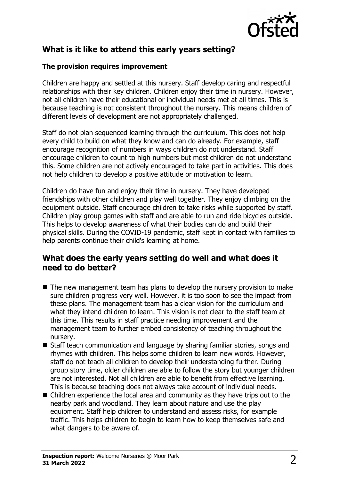

# **What is it like to attend this early years setting?**

## **The provision requires improvement**

Children are happy and settled at this nursery. Staff develop caring and respectful relationships with their key children. Children enjoy their time in nursery. However, not all children have their educational or individual needs met at all times. This is because teaching is not consistent throughout the nursery. This means children of different levels of development are not appropriately challenged.

Staff do not plan sequenced learning through the curriculum. This does not help every child to build on what they know and can do already. For example, staff encourage recognition of numbers in ways children do not understand. Staff encourage children to count to high numbers but most children do not understand this. Some children are not actively encouraged to take part in activities. This does not help children to develop a positive attitude or motivation to learn.

Children do have fun and enjoy their time in nursery. They have developed friendships with other children and play well together. They enjoy climbing on the equipment outside. Staff encourage children to take risks while supported by staff. Children play group games with staff and are able to run and ride bicycles outside. This helps to develop awareness of what their bodies can do and build their physical skills. During the COVID-19 pandemic, staff kept in contact with families to help parents continue their child's learning at home.

## **What does the early years setting do well and what does it need to do better?**

- $\blacksquare$  The new management team has plans to develop the nursery provision to make sure children progress very well. However, it is too soon to see the impact from these plans. The management team has a clear vision for the curriculum and what they intend children to learn. This vision is not clear to the staff team at this time. This results in staff practice needing improvement and the management team to further embed consistency of teaching throughout the nursery.
- Staff teach communication and language by sharing familiar stories, songs and rhymes with children. This helps some children to learn new words. However, staff do not teach all children to develop their understanding further. During group story time, older children are able to follow the story but younger children are not interested. Not all children are able to benefit from effective learning. This is because teaching does not always take account of individual needs.
- Children experience the local area and community as they have trips out to the nearby park and woodland. They learn about nature and use the play equipment. Staff help children to understand and assess risks, for example traffic. This helps children to begin to learn how to keep themselves safe and what dangers to be aware of.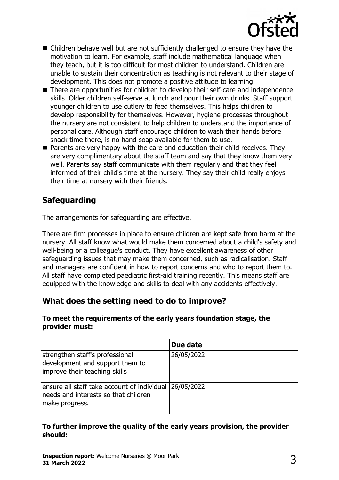

- $\blacksquare$  Children behave well but are not sufficiently challenged to ensure they have the motivation to learn. For example, staff include mathematical language when they teach, but it is too difficult for most children to understand. Children are unable to sustain their concentration as teaching is not relevant to their stage of development. This does not promote a positive attitude to learning.
- There are opportunities for children to develop their self-care and independence skills. Older children self-serve at lunch and pour their own drinks. Staff support younger children to use cutlery to feed themselves. This helps children to develop responsibility for themselves. However, hygiene processes throughout the nursery are not consistent to help children to understand the importance of personal care. Although staff encourage children to wash their hands before snack time there, is no hand soap available for them to use.
- $\blacksquare$  Parents are very happy with the care and education their child receives. They are very complimentary about the staff team and say that they know them very well. Parents say staff communicate with them regularly and that they feel informed of their child's time at the nursery. They say their child really enjoys their time at nursery with their friends.

# **Safeguarding**

The arrangements for safeguarding are effective.

There are firm processes in place to ensure children are kept safe from harm at the nursery. All staff know what would make them concerned about a child's safety and well-being or a colleague's conduct. They have excellent awareness of other safeguarding issues that may make them concerned, such as radicalisation. Staff and managers are confident in how to report concerns and who to report them to. All staff have completed paediatric first-aid training recently. This means staff are equipped with the knowledge and skills to deal with any accidents effectively.

## **What does the setting need to do to improve?**

#### **To meet the requirements of the early years foundation stage, the provider must:**

|                                                                                                                  | Due date   |
|------------------------------------------------------------------------------------------------------------------|------------|
| strengthen staff's professional<br>development and support them to<br>improve their teaching skills              | 26/05/2022 |
| ensure all staff take account of individual 26/05/2022<br>needs and interests so that children<br>make progress. |            |

## **To further improve the quality of the early years provision, the provider should:**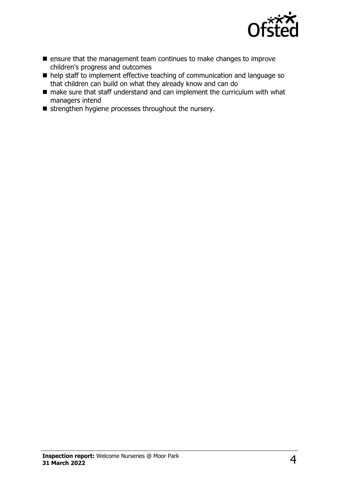

- $\blacksquare$  ensure that the management team continues to make changes to improve children's progress and outcomes
- $\blacksquare$  help staff to implement effective teaching of communication and language so that children can build on what they already know and can do
- $\blacksquare$  make sure that staff understand and can implement the curriculum with what managers intend
- strengthen hygiene processes throughout the nursery.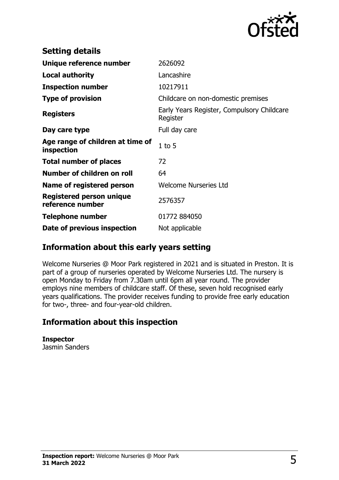

| <b>Setting details</b>                         |                                                        |
|------------------------------------------------|--------------------------------------------------------|
| Unique reference number                        | 2626092                                                |
| <b>Local authority</b>                         | Lancashire                                             |
| <b>Inspection number</b>                       | 10217911                                               |
| <b>Type of provision</b>                       | Childcare on non-domestic premises                     |
| <b>Registers</b>                               | Early Years Register, Compulsory Childcare<br>Register |
| Day care type                                  | Full day care                                          |
| Age range of children at time of<br>inspection | $1$ to $5$                                             |
| <b>Total number of places</b>                  | 72                                                     |
| Number of children on roll                     | 64                                                     |
| Name of registered person                      | <b>Welcome Nurseries Ltd</b>                           |
| Registered person unique<br>reference number   | 2576357                                                |
| <b>Telephone number</b>                        | 01772 884050                                           |
| Date of previous inspection                    | Not applicable                                         |

## **Information about this early years setting**

Welcome Nurseries @ Moor Park registered in 2021 and is situated in Preston. It is part of a group of nurseries operated by Welcome Nurseries Ltd. The nursery is open Monday to Friday from 7.30am until 6pm all year round. The provider employs nine members of childcare staff. Of these, seven hold recognised early years qualifications. The provider receives funding to provide free early education for two-, three- and four-year-old children.

## **Information about this inspection**

**Inspector** Jasmin Sanders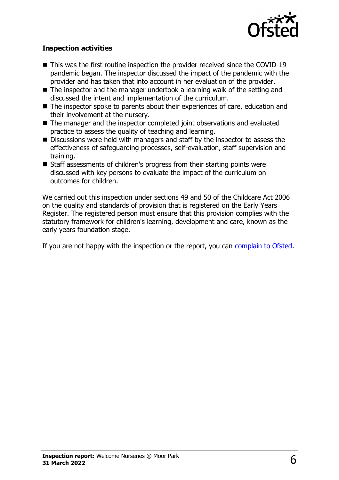

## **Inspection activities**

- $\blacksquare$  This was the first routine inspection the provider received since the COVID-19 pandemic began. The inspector discussed the impact of the pandemic with the provider and has taken that into account in her evaluation of the provider.
- $\blacksquare$  The inspector and the manager undertook a learning walk of the setting and discussed the intent and implementation of the curriculum.
- $\blacksquare$  The inspector spoke to parents about their experiences of care, education and their involvement at the nursery.
- $\blacksquare$  The manager and the inspector completed joint observations and evaluated practice to assess the quality of teaching and learning.
- $\blacksquare$  Discussions were held with managers and staff by the inspector to assess the effectiveness of safeguarding processes, self-evaluation, staff supervision and training.
- $\blacksquare$  Staff assessments of children's progress from their starting points were discussed with key persons to evaluate the impact of the curriculum on outcomes for children.

We carried out this inspection under sections 49 and 50 of the Childcare Act 2006 on the quality and standards of provision that is registered on the Early Years Register. The registered person must ensure that this provision complies with the statutory framework for children's learning, development and care, known as the early years foundation stage.

If you are not happy with the inspection or the report, you can [complain to Ofsted](http://www.gov.uk/complain-ofsted-report).